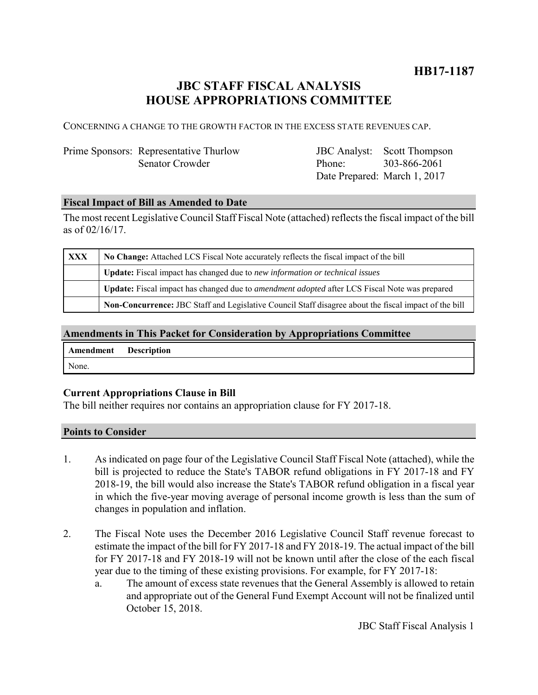## **HB17-1187**

# **JBC STAFF FISCAL ANALYSIS HOUSE APPROPRIATIONS COMMITTEE**

CONCERNING A CHANGE TO THE GROWTH FACTOR IN THE EXCESS STATE REVENUES CAP.

### Prime Sponsors: Representative Thurlow Senator Crowder

JBC Analyst: Phone: Date Prepared: March 1, 2017 Scott Thompson 303-866-2061

### **Fiscal Impact of Bill as Amended to Date**

The most recent Legislative Council Staff Fiscal Note (attached) reflects the fiscal impact of the bill as of 02/16/17.

| XXX | No Change: Attached LCS Fiscal Note accurately reflects the fiscal impact of the bill                       |  |
|-----|-------------------------------------------------------------------------------------------------------------|--|
|     | <b>Update:</b> Fiscal impact has changed due to new information or technical issues                         |  |
|     | <b>Update:</b> Fiscal impact has changed due to <i>amendment adopted</i> after LCS Fiscal Note was prepared |  |
|     | Non-Concurrence: JBC Staff and Legislative Council Staff disagree about the fiscal impact of the bill       |  |

#### **Amendments in This Packet for Consideration by Appropriations Committee**

| Amendment | <b>Description</b> |
|-----------|--------------------|
| None.     |                    |

#### **Current Appropriations Clause in Bill**

The bill neither requires nor contains an appropriation clause for FY 2017-18.

#### **Points to Consider**

- 1. As indicated on page four of the Legislative Council Staff Fiscal Note (attached), while the bill is projected to reduce the State's TABOR refund obligations in FY 2017-18 and FY 2018-19, the bill would also increase the State's TABOR refund obligation in a fiscal year in which the five-year moving average of personal income growth is less than the sum of changes in population and inflation.
- 2. The Fiscal Note uses the December 2016 Legislative Council Staff revenue forecast to estimate the impact of the bill for FY 2017-18 and FY 2018-19. The actual impact of the bill for FY 2017-18 and FY 2018-19 will not be known until after the close of the each fiscal year due to the timing of these existing provisions. For example, for FY 2017-18:
	- a. The amount of excess state revenues that the General Assembly is allowed to retain and appropriate out of the General Fund Exempt Account will not be finalized until October 15, 2018.